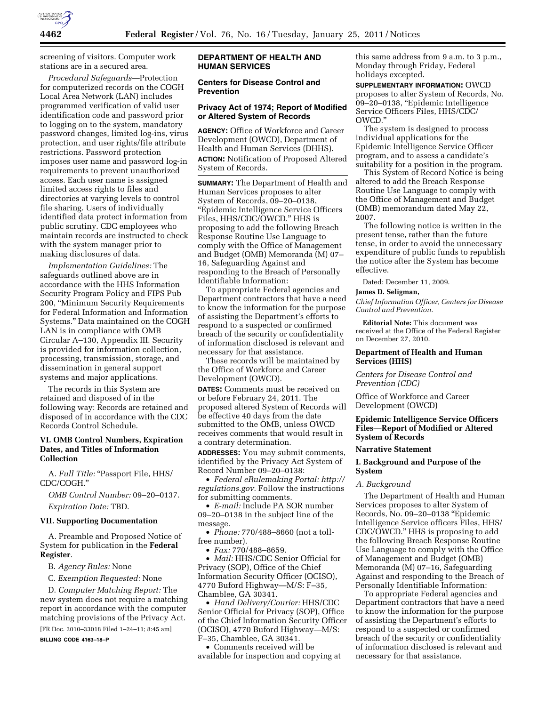

screening of visitors. Computer work stations are in a secured area.

*Procedural Safeguards*—Protection for computerized records on the COGH Local Area Network (LAN) includes programmed verification of valid user identification code and password prior to logging on to the system, mandatory password changes, limited log-ins, virus protection, and user rights/file attribute restrictions. Password protection imposes user name and password log-in requirements to prevent unauthorized access. Each user name is assigned limited access rights to files and directories at varying levels to control file sharing. Users of individually identified data protect information from public scrutiny. CDC employees who maintain records are instructed to check with the system manager prior to making disclosures of data.

*Implementation Guidelines:* The safeguards outlined above are in accordance with the HHS Information Security Program Policy and FIPS Pub 200, ''Minimum Security Requirements for Federal Information and Information Systems.'' Data maintained on the COGH LAN is in compliance with OMB Circular A–130, Appendix III. Security is provided for information collection, processing, transmission, storage, and dissemination in general support systems and major applications.

The records in this System are retained and disposed of in the following way: Records are retained and disposed of in accordance with the CDC Records Control Schedule.

# **VI. OMB Control Numbers, Expiration Dates, and Titles of Information Collection**

A. Full Title: "Passport File, HHS/ CDC/COGH.''

*OMB Control Number:* 09–20–0137. *Expiration Date:* TBD.

# **VII. Supporting Documentation**

A. Preamble and Proposed Notice of System for publication in the **Federal Register**.

B. *Agency Rules:* None

C. *Exemption Requested:* None

D. *Computer Matching Report:* The new system does not require a matching report in accordance with the computer matching provisions of the Privacy Act.

[FR Doc. 2010–33018 Filed 1–24–11; 8:45 am]

**BILLING CODE 4163–18–P** 

# **DEPARTMENT OF HEALTH AND HUMAN SERVICES**

# **Centers for Disease Control and Prevention**

### **Privacy Act of 1974; Report of Modified or Altered System of Records**

**AGENCY:** Office of Workforce and Career Development (OWCD), Department of Health and Human Services (DHHS). **ACTION:** Notification of Proposed Altered

System of Records.

**SUMMARY:** The Department of Health and Human Services proposes to alter System of Records, 09–20–0138, ''Epidemic Intelligence Service Officers Files, HHS/CDC/OWCD.'' HHS is proposing to add the following Breach Response Routine Use Language to comply with the Office of Management and Budget (OMB) Memoranda (M) 07– 16, Safeguarding Against and responding to the Breach of Personally Identifiable Information:

To appropriate Federal agencies and Department contractors that have a need to know the information for the purpose of assisting the Department's efforts to respond to a suspected or confirmed breach of the security or confidentiality of information disclosed is relevant and necessary for that assistance.

These records will be maintained by the Office of Workforce and Career Development (OWCD).

**DATES:** Comments must be received on or before February 24, 2011. The proposed altered System of Records will be effective 40 days from the date submitted to the OMB, unless OWCD receives comments that would result in a contrary determination.

**ADDRESSES:** You may submit comments, identified by the Privacy Act System of Record Number 09–20–0138:

• *Federal eRulemaking Portal: [http://](http://regulations.gov)  [regulations.gov.](http://regulations.gov)* Follow the instructions for submitting comments.

• *E-mail:* Include PA SOR number 09–20–0138 in the subject line of the message.

• *Phone:* 770/488–8660 (not a tollfree number).

• *Fax:* 770/488–8659.

• *Mail:* HHS/CDC Senior Official for Privacy (SOP), Office of the Chief Information Security Officer (OCISO), 4770 Buford Highway—M/S: F–35, Chamblee, GA 30341.

• *Hand Delivery/Courier:* HHS/CDC Senior Official for Privacy (SOP), Office of the Chief Information Security Officer (OCISO), 4770 Buford Highway—M/S: F–35, Chamblee, GA 30341.

• Comments received will be available for inspection and copying at this same address from 9 a.m. to 3 p.m., Monday through Friday, Federal holidays excepted.

**SUPPLEMENTARY INFORMATION:** OWCD proposes to alter System of Records, No. 09–20–0138, ''Epidemic Intelligence Service Officers Files, HHS/CDC/ OWCD.''

The system is designed to process individual applications for the Epidemic Intelligence Service Officer program, and to assess a candidate's suitability for a position in the program.

This System of Record Notice is being altered to add the Breach Response Routine Use Language to comply with the Office of Management and Budget (OMB) memorandum dated May 22, 2007.

The following notice is written in the present tense, rather than the future tense, in order to avoid the unnecessary expenditure of public funds to republish the notice after the System has become effective.

Dated: December 11, 2009.

#### **James D. Seligman,**

*Chief Information Officer, Centers for Disease Control and Prevention.* 

**Editorial Note:** This document was received at the Office of the Federal Register on December 27, 2010.

#### **Department of Health and Human Services (HHS)**

*Centers for Disease Control and Prevention (CDC)* 

Office of Workforce and Career Development (OWCD)

# **Epidemic Intelligence Service Officers Files—Report of Modified or Altered System of Records**

#### **Narrative Statement**

# **I. Background and Purpose of the System**

#### *A. Background*

The Department of Health and Human Services proposes to alter System of Records, No. 09–20–0138 ''Epidemic Intelligence Service officers Files, HHS/ CDC/OWCD.'' HHS is proposing to add the following Breach Response Routine Use Language to comply with the Office of Management and Budget (OMB) Memoranda (M) 07–16, Safeguarding Against and responding to the Breach of Personally Identifiable Information:

To appropriate Federal agencies and Department contractors that have a need to know the information for the purpose of assisting the Department's efforts to respond to a suspected or confirmed breach of the security or confidentiality of information disclosed is relevant and necessary for that assistance.